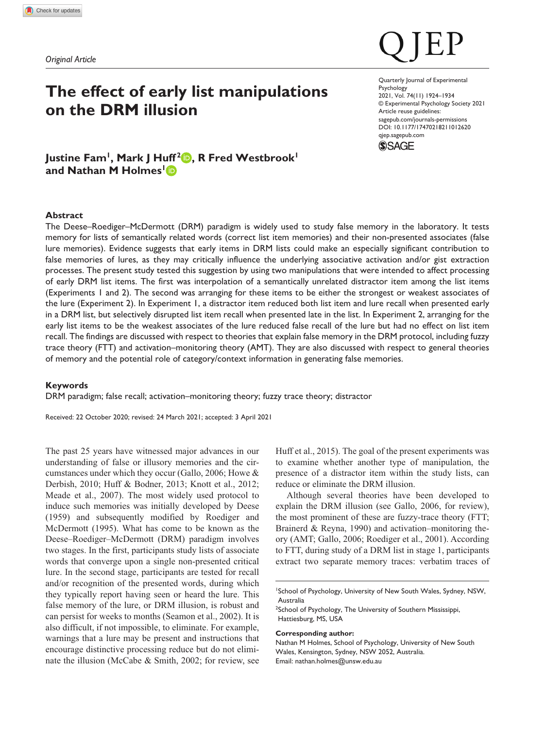*Original Article*

# **The effect of early list manipulations on the DRM illusion**

# Justine Fam<sup>1</sup>, Mark J Huff<sup>2</sup><sup>(b</sup>), R Fred Westbrook<sup>1</sup> **and Nathan M Holmes1**

### **Abstract**

The Deese–Roediger–McDermott (DRM) paradigm is widely used to study false memory in the laboratory. It tests memory for lists of semantically related words (correct list item memories) and their non-presented associates (false lure memories). Evidence suggests that early items in DRM lists could make an especially significant contribution to false memories of lures, as they may critically influence the underlying associative activation and/or gist extraction processes. The present study tested this suggestion by using two manipulations that were intended to affect processing of early DRM list items. The first was interpolation of a semantically unrelated distractor item among the list items (Experiments 1 and 2). The second was arranging for these items to be either the strongest or weakest associates of the lure (Experiment 2). In Experiment 1, a distractor item reduced both list item and lure recall when presented early in a DRM list, but selectively disrupted list item recall when presented late in the list. In Experiment 2, arranging for the early list items to be the weakest associates of the lure reduced false recall of the lure but had no effect on list item recall. The findings are discussed with respect to theories that explain false memory in the DRM protocol, including fuzzy trace theory (FTT) and activation–monitoring theory (AMT). They are also discussed with respect to general theories of memory and the potential role of category/context information in generating false memories.

#### **Keywords**

DRM paradigm; false recall; activation–monitoring theory; fuzzy trace theory; distractor

Received: 22 October 2020; revised: 24 March 2021; accepted: 3 April 2021

The past 25 years have witnessed major advances in our understanding of false or illusory memories and the circumstances under which they occur (Gallo, 2006; Howe & Derbish, 2010; Huff & Bodner, 2013; Knott et al., 2012; Meade et al., 2007). The most widely used protocol to induce such memories was initially developed by Deese (1959) and subsequently modified by Roediger and McDermott (1995). What has come to be known as the Deese–Roediger–McDermott (DRM) paradigm involves two stages. In the first, participants study lists of associate words that converge upon a single non-presented critical lure. In the second stage, participants are tested for recall and/or recognition of the presented words, during which they typically report having seen or heard the lure. This false memory of the lure, or DRM illusion, is robust and can persist for weeks to months (Seamon et al., 2002). It is also difficult, if not impossible, to eliminate. For example, warnings that a lure may be present and instructions that encourage distinctive processing reduce but do not eliminate the illusion (McCabe & Smith, 2002; for review, see

Huff et al., 2015). The goal of the present experiments was to examine whether another type of manipulation, the presence of a distractor item within the study lists, can reduce or eliminate the DRM illusion.

Although several theories have been developed to explain the DRM illusion (see Gallo, 2006, for review), the most prominent of these are fuzzy-trace theory (FTT; Brainerd & Reyna, 1990) and activation–monitoring theory (AMT; Gallo, 2006; Roediger et al., 2001). According to FTT, during study of a DRM list in stage 1, participants extract two separate memory traces: verbatim traces of

#### **Corresponding author:**

Nathan M Holmes, School of Psychology, University of New South Wales, Kensington, Sydney, NSW 2052, Australia. Email: [nathan.holmes@unsw.edu.au](mailto:nathan.holmes@unsw.edu.au)

DOI: 10.1177/17470218211012620 Quarterly Journal of Experimental Psychology 2021, Vol. 74(11) 1924–1934 © Experimental Psychology Society 2021 Article reuse guidelines: [sagepub.com/journals-permissions](https://uk.sagepub.com/en-gb/journals-permissions) [qjep.sagepub.com](http://qjep.sagepub.com)



<sup>1</sup> School of Psychology, University of New South Wales, Sydney, NSW, Australia

<sup>&</sup>lt;sup>2</sup>School of Psychology, The University of Southern Mississippi, Hattiesburg, MS, USA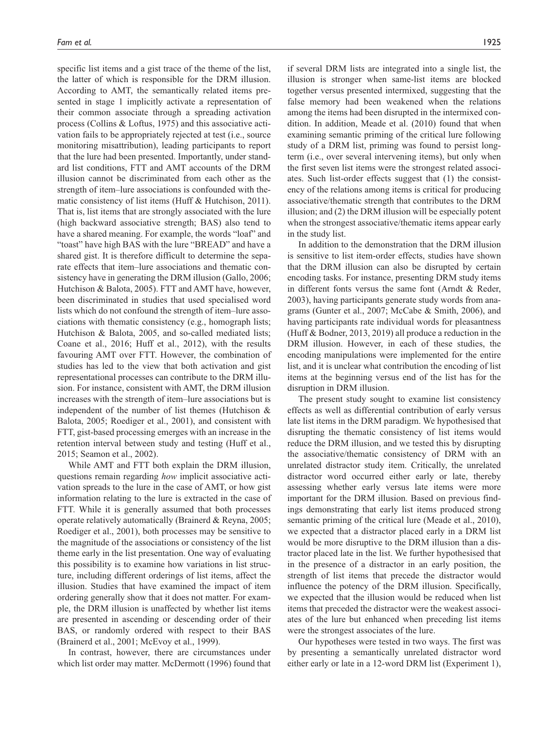specific list items and a gist trace of the theme of the list, the latter of which is responsible for the DRM illusion. According to AMT, the semantically related items presented in stage 1 implicitly activate a representation of their common associate through a spreading activation process (Collins & Loftus, 1975) and this associative activation fails to be appropriately rejected at test (i.e., source monitoring misattribution), leading participants to report that the lure had been presented. Importantly, under standard list conditions, FTT and AMT accounts of the DRM illusion cannot be discriminated from each other as the strength of item–lure associations is confounded with thematic consistency of list items (Huff & Hutchison, 2011). That is, list items that are strongly associated with the lure (high backward associative strength; BAS) also tend to have a shared meaning. For example, the words "loaf" and "toast" have high BAS with the lure "BREAD" and have a shared gist. It is therefore difficult to determine the separate effects that item–lure associations and thematic consistency have in generating the DRM illusion (Gallo, 2006; Hutchison & Balota, 2005). FTT and AMT have, however, been discriminated in studies that used specialised word lists which do not confound the strength of item–lure associations with thematic consistency (e.g., homograph lists; Hutchison & Balota, 2005, and so-called mediated lists; Coane et al., 2016; Huff et al., 2012), with the results favouring AMT over FTT. However, the combination of studies has led to the view that both activation and gist representational processes can contribute to the DRM illusion. For instance, consistent with AMT, the DRM illusion increases with the strength of item–lure associations but is independent of the number of list themes (Hutchison & Balota, 2005; Roediger et al., 2001), and consistent with FTT, gist-based processing emerges with an increase in the retention interval between study and testing (Huff et al., 2015; Seamon et al., 2002).

While AMT and FTT both explain the DRM illusion, questions remain regarding *how* implicit associative activation spreads to the lure in the case of AMT, or how gist information relating to the lure is extracted in the case of FTT. While it is generally assumed that both processes operate relatively automatically (Brainerd & Reyna, 2005; Roediger et al., 2001), both processes may be sensitive to the magnitude of the associations or consistency of the list theme early in the list presentation. One way of evaluating this possibility is to examine how variations in list structure, including different orderings of list items, affect the illusion. Studies that have examined the impact of item ordering generally show that it does not matter. For example, the DRM illusion is unaffected by whether list items are presented in ascending or descending order of their BAS, or randomly ordered with respect to their BAS (Brainerd et al., 2001; McEvoy et al., 1999).

In contrast, however, there are circumstances under which list order may matter. McDermott (1996) found that

if several DRM lists are integrated into a single list, the illusion is stronger when same-list items are blocked together versus presented intermixed, suggesting that the false memory had been weakened when the relations among the items had been disrupted in the intermixed condition. In addition, Meade et al. (2010) found that when examining semantic priming of the critical lure following study of a DRM list, priming was found to persist longterm (i.e., over several intervening items), but only when the first seven list items were the strongest related associates. Such list-order effects suggest that (1) the consistency of the relations among items is critical for producing associative/thematic strength that contributes to the DRM illusion; and (2) the DRM illusion will be especially potent when the strongest associative/thematic items appear early in the study list.

In addition to the demonstration that the DRM illusion is sensitive to list item-order effects, studies have shown that the DRM illusion can also be disrupted by certain encoding tasks. For instance, presenting DRM study items in different fonts versus the same font (Arndt & Reder, 2003), having participants generate study words from anagrams (Gunter et al., 2007; McCabe & Smith, 2006), and having participants rate individual words for pleasantness (Huff & Bodner, 2013, 2019) all produce a reduction in the DRM illusion. However, in each of these studies, the encoding manipulations were implemented for the entire list, and it is unclear what contribution the encoding of list items at the beginning versus end of the list has for the disruption in DRM illusion.

The present study sought to examine list consistency effects as well as differential contribution of early versus late list items in the DRM paradigm. We hypothesised that disrupting the thematic consistency of list items would reduce the DRM illusion, and we tested this by disrupting the associative/thematic consistency of DRM with an unrelated distractor study item. Critically, the unrelated distractor word occurred either early or late, thereby assessing whether early versus late items were more important for the DRM illusion. Based on previous findings demonstrating that early list items produced strong semantic priming of the critical lure (Meade et al., 2010), we expected that a distractor placed early in a DRM list would be more disruptive to the DRM illusion than a distractor placed late in the list. We further hypothesised that in the presence of a distractor in an early position, the strength of list items that precede the distractor would influence the potency of the DRM illusion. Specifically, we expected that the illusion would be reduced when list items that preceded the distractor were the weakest associates of the lure but enhanced when preceding list items were the strongest associates of the lure.

Our hypotheses were tested in two ways. The first was by presenting a semantically unrelated distractor word either early or late in a 12-word DRM list (Experiment 1),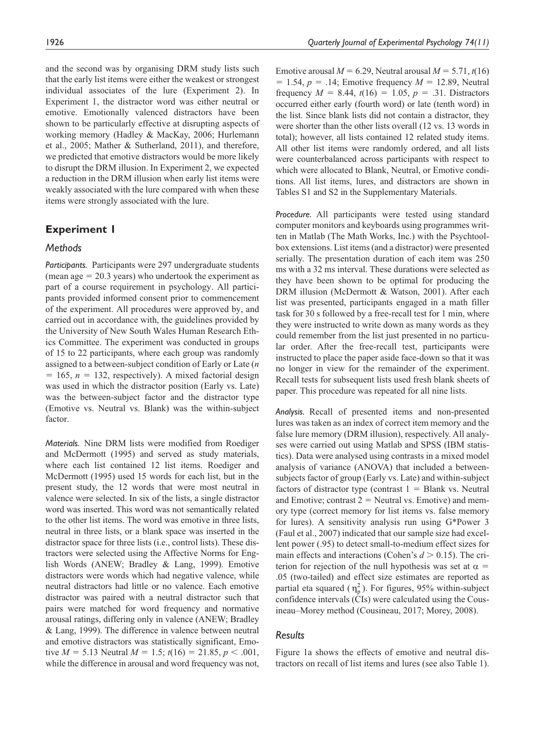and the second was by organising DRM study lists such that the early list items were either the weakest or strongest individual associates of the lure (Experiment 2). In Experiment 1, the distractor word was either neutral or emotive. Emotionally valenced distractors have been shown to be particularly effective at disrupting aspects of working memory (Hadley & MacKay, 2006; Hurlemann et al., 2005; Mather & Sutherland, 2011), and therefore, we predicted that emotive distractors would be more likely to disrupt the DRM illusion. In Experiment 2, we expected a reduction in the DRM illusion when early list items were weakly associated with the lure compared with when these items were strongly associated with the lure.

# **Experiment 1**

# *Methods*

*Participants.* Participants were 297 undergraduate students (mean age  $= 20.3$  years) who undertook the experiment as part of a course requirement in psychology. All participants provided informed consent prior to commencement of the experiment. All procedures were approved by, and carried out in accordance with, the guidelines provided by the University of New South Wales Human Research Ethics Committee. The experiment was conducted in groups of 15 to 22 participants, where each group was randomly assigned to a between-subject condition of Early or Late (*n*  $= 165$ ,  $n = 132$ , respectively). A mixed factorial design was used in which the distractor position (Early vs. Late) was the between-subject factor and the distractor type (Emotive vs. Neutral vs. Blank) was the within-subject factor.

*Materials.* Nine DRM lists were modified from Roediger and McDermott (1995) and served as study materials, where each list contained 12 list items. Roediger and McDermott (1995) used 15 words for each list, but in the present study, the 12 words that were most neutral in valence were selected. In six of the lists, a single distractor word was inserted. This word was not semantically related to the other list items. The word was emotive in three lists, neutral in three lists, or a blank space was inserted in the distractor space for three lists (i.e., control lists). These distractors were selected using the Affective Norms for English Words (ANEW; Bradley & Lang, 1999). Emotive distractors were words which had negative valence, while neutral distractors had little or no valence. Each emotive distractor was paired with a neutral distractor such that pairs were matched for word frequency and normative arousal ratings, differing only in valence (ANEW; Bradley & Lang, 1999). The difference in valence between neutral and emotive distractors was statistically significant, Emotive  $M = 5.13$  Neutral  $M = 1.5$ ;  $t(16) = 21.85$ ,  $p < .001$ , while the difference in arousal and word frequency was not,

Emotive arousal  $M = 6.29$ , Neutral arousal  $M = 5.71$ ,  $t(16)$  $= 1.54$ ,  $p = .14$ ; Emotive frequency  $M = 12.89$ , Neutral frequency  $M = 8.44$ ,  $t(16) = 1.05$ ,  $p = .31$ . Distractors occurred either early (fourth word) or late (tenth word) in the list. Since blank lists did not contain a distractor, they were shorter than the other lists overall (12 vs. 13 words in total); however, all lists contained 12 related study items. All other list items were randomly ordered, and all lists were counterbalanced across participants with respect to which were allocated to Blank, Neutral, or Emotive conditions. All list items, lures, and distractors are shown in Tables S1 and S2 in the Supplementary Materials.

*Procedure.* All participants were tested using standard computer monitors and keyboards using programmes written in Matlab (The Math Works, Inc.) with the Psychtoolbox extensions. List items (and a distractor) were presented serially. The presentation duration of each item was 250 ms with a 32 ms interval. These durations were selected as they have been shown to be optimal for producing the DRM illusion (McDermott & Watson, 2001). After each list was presented, participants engaged in a math filler task for 30 s followed by a free-recall test for 1 min, where they were instructed to write down as many words as they could remember from the list just presented in no particular order. After the free-recall test, participants were instructed to place the paper aside face-down so that it was no longer in view for the remainder of the experiment. Recall tests for subsequent lists used fresh blank sheets of paper. This procedure was repeated for all nine lists.

*Analysis.* Recall of presented items and non-presented lures was taken as an index of correct item memory and the false lure memory (DRM illusion), respectively. All analyses were carried out using Matlab and SPSS (IBM statistics). Data were analysed using contrasts in a mixed model analysis of variance (ANOVA) that included a betweensubjects factor of group (Early vs. Late) and within-subject factors of distractor type (contrast  $1 =$  Blank vs. Neutral and Emotive; contrast  $2 =$  Neutral vs. Emotive) and memory type (correct memory for list items vs. false memory for lures). A sensitivity analysis run using G\*Power 3 (Faul et al., 2007) indicated that our sample size had excellent power (.95) to detect small-to-medium effect sizes for main effects and interactions (Cohen's  $d > 0.15$ ). The criterion for rejection of the null hypothesis was set at  $\alpha$  = .05 (two-tailed) and effect size estimates are reported as partial eta squared  $(\eta_p^2)$ . For figures, 95% within-subject confidence intervals (CIs) were calculated using the Cousineau–Morey method (Cousineau, 2017; Morey, 2008).

# *Results*

Figure 1a shows the effects of emotive and neutral distractors on recall of list items and lures (see also Table 1).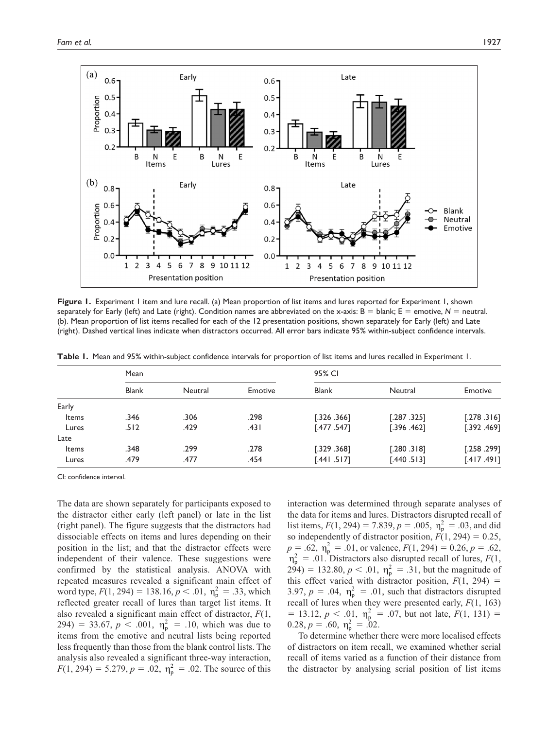

**Figure 1.** Experiment 1 item and lure recall. (a) Mean proportion of list items and lures reported for Experiment 1, shown separately for Early (left) and Late (right). Condition names are abbreviated on the x-axis:  $B =$  blank;  $E =$  emotive,  $N =$  neutral. (b). Mean proportion of list items recalled for each of the 12 presentation positions, shown separately for Early (left) and Late (right). Dashed vertical lines indicate when distractors occurred. All error bars indicate 95% within-subject confidence intervals.

|       | Mean         |         |         | 95% CI       |              |              |  |  |  |
|-------|--------------|---------|---------|--------------|--------------|--------------|--|--|--|
|       | <b>Blank</b> | Neutral | Emotive | <b>Blank</b> | Neutral      | Emotive      |  |  |  |
| Early |              |         |         |              |              |              |  |  |  |
| Items | .346         | .306    | .298    | [.326.366]   | [.287, .325] | [.278.316]   |  |  |  |
| Lures | .512         | .429    | .431    | [.477.547]   | [.396.462]   | [.392, .469] |  |  |  |
| Late  |              |         |         |              |              |              |  |  |  |
| Items | .348         | .299    | .278    | [.329.368]   | [.280.318]   | [.258.299]   |  |  |  |
| Lures | .479         | .477    | .454    | [.441.517]   | [.440.513]   | [.417.491]   |  |  |  |

**Table 1.** Mean and 95% within-subject confidence intervals for proportion of list items and lures recalled in Experiment 1.

The data are shown separately for participants exposed to the distractor either early (left panel) or late in the list (right panel). The figure suggests that the distractors had dissociable effects on items and lures depending on their position in the list; and that the distractor effects were independent of their valence. These suggestions were confirmed by the statistical analysis. ANOVA with repeated measures revealed a significant main effect of word type,  $F(1, 294) = 138.16, p < .01, \eta_p^2 = .33$ , which reflected greater recall of lures than target list items. It also revealed a significant main effect of distractor, *F*(1, 294) = 33.67,  $p < .001$ ,  $\eta_p^2 = .10$ , which was due to items from the emotive and neutral lists being reported less frequently than those from the blank control lists. The analysis also revealed a significant three-way interaction,  $F(1, 294) = 5.279, p = .02, \eta_p^2 = .02$ . The source of this interaction was determined through separate analyses of the data for items and lures. Distractors disrupted recall of list items,  $F(1, 294) = 7.839$ ,  $p = .005$ ,  $\eta_p^2 = .03$ , and did so independently of distractor position,  $F(1, 294) = 0.25$ ,  $p = .62$ ,  $\eta_p^2 = .01$ , or valence,  $F(1, 294) = 0.26$ ,  $p = .62$ ,  $\eta_{\rm p}^2$  = .01. Distractors also disrupted recall of lures, *F*(1,  $294$ ) = 132.80,  $p < .01$ ,  $\eta_p^2 = .31$ , but the magnitude of this effect varied with distractor position,  $F(1, 294)$  = 3.97,  $p = .04$ ,  $\eta_p^2 = .01$ , such that distractors disrupted recall of lures when they were presented early, *F*(1, 163)  $= 13.12, p < .01, \eta_p^2 = .07$ , but not late,  $F(1, 131) =$  $0.28, p = .60, \eta_p^2 = .02.$ 

To determine whether there were more localised effects of distractors on item recall, we examined whether serial recall of items varied as a function of their distance from the distractor by analysing serial position of list items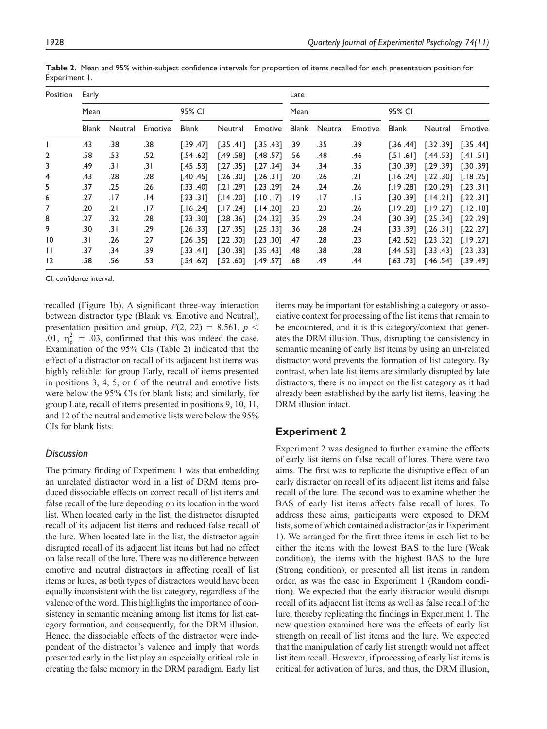| Position        | Early |         |         |              |            |            | Late  |         |         |              |            |            |
|-----------------|-------|---------|---------|--------------|------------|------------|-------|---------|---------|--------------|------------|------------|
|                 | Mean  |         |         | 95% CI       |            |            | Mean  |         |         | 95% CI       |            |            |
|                 | Blank | Neutral | Emotive | <b>Blank</b> | Neutral    | Emotive    | Blank | Neutral | Emotive | <b>Blank</b> | Neutral    | Emotive    |
|                 | .43   | .38     | .38     | [.39, .47]   | [.35, .41] | [.35, .43] | .39   | .35     | .39     | 144. 36.]    | [.32, .39] | [.35, .44] |
| $\overline{2}$  | .58   | .53     | .52     | 1.54 .62 آ   | [.49, .58] | [.48 .57]  | .56   | .48     | .46     | [.51 .61]    | [.44.53]   | [.41.51]   |
| 3               | .49   | .31     | .31     | [.45, .53]   | [.27, .35] | [.27 .34]  | .34   | .34     | .35     | F.30 .391    | [.29.39]   | [.30.39]   |
| 4               | .43   | .28     | .28     | 140.451 آ    | [.26.30]   | 1.26.311   | .20   | .26     | .21     | T.16 .241    | [.22, .30] | [.18.25]   |
| 5               | .37   | .25     | .26     | [.33 .40]    | [.21.29]   | [.2329]    | .24   | .24     | .26     | 181. 19. [   | 1.20.291   | [.23.3]    |
| 6               | .27   | .17     | 14.     | [.23.31]     | [.14.20]   | [.10.17]   | 19.   | .17     | . I 5   | .30 391      | [.14.2]    | [.22.31]   |
| 7               | .20   | .21     | .17     | 1.16.241     | [.17.24]   | [.14.20]   | .23   | .23     | .26     | [.19 .28]    | [.19.27]   | [.12.18]   |
| 8               | .27   | .32     | .28     | [.23, .30]   | [.28, .36] | [.24, .32] | .35   | .29     | .24     | [.30 .39]    | [.25.34]   | [.22.29]   |
| 9               | .30   | .31     | .29     | [.26.33]     | [.27, .35] | [.25.33]   | .36   | .28     | .24     | [.33 .39]    | 1.26.311   | [.22.27]   |
| $\overline{10}$ | ا 3.  | .26     | .27     | [.26.35]     | [.22, .30] | [.23, .30] | .47   | .28     | .23     | [.42 .52]    | [.23.32]   | [.19.27]   |
| Ш               | .37   | .34     | .39     | [.33 .41]    | [.30, .38] | [.35, .43] | .48   | .38     | .28     | [.44 .53]    | [.33, .43] | [.23.33]   |
| 12              | .58   | .56     | .53     | 1.54 .62     | [.52, 60]  | [.49 .57]  | .68   | .49     | .44     | [.63 .73]    | [.46, .54] | [.39, .49] |

**Table 2.** Mean and 95% within-subject confidence intervals for proportion of items recalled for each presentation position for Experiment 1.

recalled (Figure 1b). A significant three-way interaction between distractor type (Blank vs. Emotive and Neutral), presentation position and group,  $F(2, 22) = 8.561$ ,  $p \le$ .01,  $\eta_p^2 = .03$ , confirmed that this was indeed the case. Examination of the 95% CIs (Table 2) indicated that the effect of a distractor on recall of its adjacent list items was highly reliable: for group Early, recall of items presented in positions 3, 4, 5, or 6 of the neutral and emotive lists were below the 95% CIs for blank lists; and similarly, for group Late, recall of items presented in positions 9, 10, 11, and 12 of the neutral and emotive lists were below the 95% CIs for blank lists.

# *Discussion*

The primary finding of Experiment 1 was that embedding an unrelated distractor word in a list of DRM items produced dissociable effects on correct recall of list items and false recall of the lure depending on its location in the word list. When located early in the list, the distractor disrupted recall of its adjacent list items and reduced false recall of the lure. When located late in the list, the distractor again disrupted recall of its adjacent list items but had no effect on false recall of the lure. There was no difference between emotive and neutral distractors in affecting recall of list items or lures, as both types of distractors would have been equally inconsistent with the list category, regardless of the valence of the word. This highlights the importance of consistency in semantic meaning among list items for list category formation, and consequently, for the DRM illusion. Hence, the dissociable effects of the distractor were independent of the distractor's valence and imply that words presented early in the list play an especially critical role in creating the false memory in the DRM paradigm. Early list

items may be important for establishing a category or associative context for processing of the list items that remain to be encountered, and it is this category/context that generates the DRM illusion. Thus, disrupting the consistency in semantic meaning of early list items by using an un-related distractor word prevents the formation of list category. By contrast, when late list items are similarly disrupted by late distractors, there is no impact on the list category as it had already been established by the early list items, leaving the DRM illusion intact.

# **Experiment 2**

Experiment 2 was designed to further examine the effects of early list items on false recall of lures. There were two aims. The first was to replicate the disruptive effect of an early distractor on recall of its adjacent list items and false recall of the lure. The second was to examine whether the BAS of early list items affects false recall of lures. To address these aims, participants were exposed to DRM lists, some of which contained a distractor (as in Experiment 1). We arranged for the first three items in each list to be either the items with the lowest BAS to the lure (Weak condition), the items with the highest BAS to the lure (Strong condition), or presented all list items in random order, as was the case in Experiment 1 (Random condition). We expected that the early distractor would disrupt recall of its adjacent list items as well as false recall of the lure, thereby replicating the findings in Experiment 1. The new question examined here was the effects of early list strength on recall of list items and the lure. We expected that the manipulation of early list strength would not affect list item recall. However, if processing of early list items is critical for activation of lures, and thus, the DRM illusion,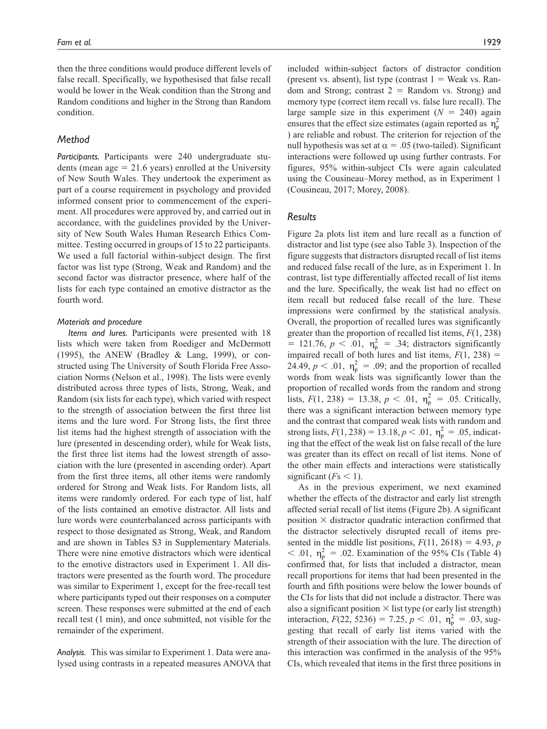then the three conditions would produce different levels of false recall. Specifically, we hypothesised that false recall would be lower in the Weak condition than the Strong and Random conditions and higher in the Strong than Random condition.

# *Method*

*Participants.* Participants were 240 undergraduate students (mean age  $= 21.6$  years) enrolled at the University of New South Wales. They undertook the experiment as part of a course requirement in psychology and provided informed consent prior to commencement of the experiment. All procedures were approved by, and carried out in accordance, with the guidelines provided by the University of New South Wales Human Research Ethics Committee. Testing occurred in groups of 15 to 22 participants. We used a full factorial within-subject design. The first factor was list type (Strong, Weak and Random) and the second factor was distractor presence, where half of the lists for each type contained an emotive distractor as the fourth word.

#### *Materials and procedure*

*Items and lures.* Participants were presented with 18 lists which were taken from Roediger and McDermott (1995), the ANEW (Bradley & Lang, 1999), or constructed using The University of South Florida Free Association Norms (Nelson et al., 1998). The lists were evenly distributed across three types of lists, Strong, Weak, and Random (six lists for each type), which varied with respect to the strength of association between the first three list items and the lure word. For Strong lists, the first three list items had the highest strength of association with the lure (presented in descending order), while for Weak lists, the first three list items had the lowest strength of association with the lure (presented in ascending order). Apart from the first three items, all other items were randomly ordered for Strong and Weak lists. For Random lists, all items were randomly ordered. For each type of list, half of the lists contained an emotive distractor. All lists and lure words were counterbalanced across participants with respect to those designated as Strong, Weak, and Random and are shown in Tables S3 in Supplementary Materials. There were nine emotive distractors which were identical to the emotive distractors used in Experiment 1. All distractors were presented as the fourth word. The procedure was similar to Experiment 1, except for the free-recall test where participants typed out their responses on a computer screen. These responses were submitted at the end of each recall test (1 min), and once submitted, not visible for the remainder of the experiment.

*Analysis.* This was similar to Experiment 1. Data were analysed using contrasts in a repeated measures ANOVA that included within-subject factors of distractor condition (present vs. absent), list type (contrast  $1 =$  Weak vs. Random and Strong; contrast  $2 =$  Random vs. Strong) and memory type (correct item recall vs. false lure recall). The large sample size in this experiment  $(N = 240)$  again ensures that the effect size estimates (again reported as  $\eta_{p}^{2}$ ) are reliable and robust. The criterion for rejection of the null hypothesis was set at  $\alpha = 0.05$  (two-tailed). Significant interactions were followed up using further contrasts. For figures, 95% within-subject CIs were again calculated using the Cousineau–Morey method, as in Experiment 1 (Cousineau, 2017; Morey, 2008).

# *Results*

Figure 2a plots list item and lure recall as a function of distractor and list type (see also Table 3). Inspection of the figure suggests that distractors disrupted recall of list items and reduced false recall of the lure, as in Experiment 1. In contrast, list type differentially affected recall of list items and the lure. Specifically, the weak list had no effect on item recall but reduced false recall of the lure. These impressions were confirmed by the statistical analysis. Overall, the proportion of recalled lures was significantly greater than the proportion of recalled list items, *F*(1, 238)  $= 121.76, p < .01, \eta_p^2 = .34$ ; distractors significantly impaired recall of both lures and list items,  $F(1, 238) =$ 24.49,  $p < .01$ ,  $\eta_p^2 = .09$ ; and the proportion of recalled words from weak lists was significantly lower than the proportion of recalled words from the random and strong lists,  $F(1, 238) = 13.38$ ,  $p < .01$ ,  $\eta_p^2 = .05$ . Critically, there was a significant interaction between memory type and the contrast that compared weak lists with random and strong lists,  $F(1, 238) = 13.18, p < .01, \eta_p^2 = .05$ , indicating that the effect of the weak list on false recall of the lure was greater than its effect on recall of list items. None of the other main effects and interactions were statistically significant  $(Fs \leq 1)$ .

As in the previous experiment, we next examined whether the effects of the distractor and early list strength affected serial recall of list items (Figure 2b). A significant position  $\times$  distractor quadratic interaction confirmed that the distractor selectively disrupted recall of items presented in the middle list positions,  $F(11, 2618) = 4.93$ , *p*  $< .01$ ,  $\eta_p^2 = .02$ . Examination of the 95% CIs (Table 4) confirmed that, for lists that included a distractor, mean recall proportions for items that had been presented in the fourth and fifth positions were below the lower bounds of the CIs for lists that did not include a distractor. There was also a significant position  $\times$  list type (or early list strength) interaction,  $F(22, 5236) = 7.25, p < .01, \eta_p^2 = .03$ , suggesting that recall of early list items varied with the strength of their association with the lure. The direction of this interaction was confirmed in the analysis of the 95% CIs, which revealed that items in the first three positions in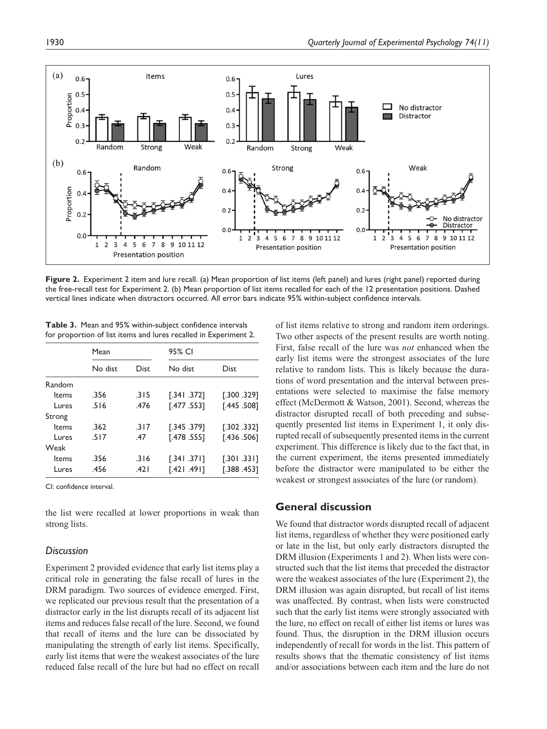

Figure 2. Experiment 2 item and lure recall. (a) Mean proportion of list items (left panel) and lures (right panel) reported during the free-recall test for Experiment 2. (b) Mean proportion of list items recalled for each of the 12 presentation positions. Dashed vertical lines indicate when distractors occurred. All error bars indicate 95% within-subject confidence intervals.

**Table 3.** Mean and 95% within-subject confidence intervals for proportion of list items and lures recalled in Experiment 2.

|        | Mean         |             | 95% CI       |              |  |  |  |
|--------|--------------|-------------|--------------|--------------|--|--|--|
|        | No dist      | <b>Dist</b> | No dist      | Dist         |  |  |  |
| Random |              |             |              |              |  |  |  |
| Items  | .356         | .315        | [.341.372]   | [.300.329]   |  |  |  |
| Lures  | .516         | .476        | [.477.553]   | [.445.508]   |  |  |  |
| Strong |              |             |              |              |  |  |  |
| Items  | .362         | .317        | [.345.379]   | [.302, .332] |  |  |  |
| Lures  | .517         | .47         | [.478, .555] | [.436, .506] |  |  |  |
| Weak   |              |             |              |              |  |  |  |
| Items  | .356         | .316        | $-.341.371]$ | [.301.331]   |  |  |  |
| Lures  | .456<br>.421 |             | [.421.491]   | [.388.453]   |  |  |  |

the list were recalled at lower proportions in weak than strong lists.

#### *Discussion*

Experiment 2 provided evidence that early list items play a critical role in generating the false recall of lures in the DRM paradigm. Two sources of evidence emerged. First, we replicated our previous result that the presentation of a distractor early in the list disrupts recall of its adjacent list items and reduces false recall of the lure. Second, we found that recall of items and the lure can be dissociated by manipulating the strength of early list items. Specifically, early list items that were the weakest associates of the lure reduced false recall of the lure but had no effect on recall

of list items relative to strong and random item orderings. Two other aspects of the present results are worth noting. First, false recall of the lure was *not* enhanced when the early list items were the strongest associates of the lure relative to random lists. This is likely because the durations of word presentation and the interval between presentations were selected to maximise the false memory effect (McDermott & Watson, 2001). Second, whereas the distractor disrupted recall of both preceding and subsequently presented list items in Experiment 1, it only disrupted recall of subsequently presented items in the current experiment. This difference is likely due to the fact that, in the current experiment, the items presented immediately before the distractor were manipulated to be either the weakest or strongest associates of the lure (or random).

# **General discussion**

We found that distractor words disrupted recall of adjacent list items, regardless of whether they were positioned early or late in the list, but only early distractors disrupted the DRM illusion (Experiments 1 and 2). When lists were constructed such that the list items that preceded the distractor were the weakest associates of the lure (Experiment 2), the DRM illusion was again disrupted, but recall of list items was unaffected. By contrast, when lists were constructed such that the early list items were strongly associated with the lure, no effect on recall of either list items or lures was found. Thus, the disruption in the DRM illusion occurs independently of recall for words in the list. This pattern of results shows that the thematic consistency of list items and/or associations between each item and the lure do not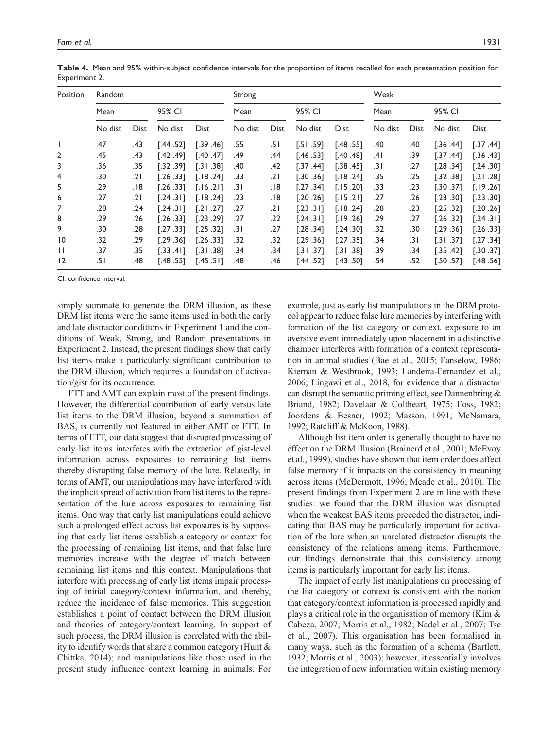| Position        | <b>Random</b> |             |            |            |         |             | Strong     |             |         |      | Weak        |            |  |  |
|-----------------|---------------|-------------|------------|------------|---------|-------------|------------|-------------|---------|------|-------------|------------|--|--|
|                 | Mean          |             | 95% CI     |            | Mean    |             | 95% CI     |             | Mean    |      | 95% CI      |            |  |  |
|                 | No dist       | <b>Dist</b> | No dist    | Dist       | No dist | <b>Dist</b> | No dist    | <b>Dist</b> | No dist | Dist | No dist     | Dist       |  |  |
|                 | .47           | .43         | [.44, .52] | [.39, .46] | .55     | .51         | [.51, .59] | [.48, .55]  | .40     | .40  | [.36, .44]  | [.37, .44] |  |  |
| $\overline{2}$  | .45           | .43         | [.42, .49] | [.40.47]   | .49     | .44         | [.46, .53] | [.40.48]    | .41     | .39  | [.37, .44]  | [.36, .43] |  |  |
| 3               | .36           | .35         | [.32, .39] | [.31, .38] | .40     | .42         | [.37, .44] | [.38, .45]  | .31     | .27  | [.28.34]    | [.24, .30] |  |  |
| 4               | .30           | ا 2.        | [.26.33]   | [.18.24]   | .33     | ا 2.        | [.30.36]   | [.18.24]    | .35     | .25  | [.32, .38]  | [.21.28]   |  |  |
| 5               | .29           | .18         | [.26.33]   | [.16.21]   | .31     | 18.         | [.27, .34] | [.15.20]    | .33     | .23  | 1.30.37     | [.19.26]   |  |  |
| 6               | .27           | .21         | 7.24.311   | [.18.24]   | .23     | .18         | [.20.26]   | [.15.21]    | .27     | .26  | [.23, .30]  | [.23, .30] |  |  |
| 7               | .28           | .24         | 1.24.311   | 7.21.27    | .27     | .21         | [.23.3]    | [.18.24]    | .28     | .23  | [.25.32]    | [.20.26]   |  |  |
| 8               | .29           | .26         | [.26.33]   | [.23.29]   | .27     | .22         | 1.24.311   | [.19.26]    | .29     | .27  | [.26.32]    | [.24.31]   |  |  |
| 9               | .30           | .28         | [.27.33]   | [.25.32]   | .31     | .27         | [.28, .34] | [.24, .30]  | .32     | .30  | [.29.36]    | [.26.33]   |  |  |
| $\overline{10}$ | .32           | .29         | [.29.36]   | [.26.33]   | .32     | .32         | [.29.36]   | [.27, .35]  | .34     | .31  | $-.31$ .371 | [.27, .34] |  |  |
| $\mathbf{H}$    | .37           | .35         | [.33, .41] | 7.31.38    | .34     | .34         | [.31.37]   | 7.31.38     | .39     | .34  | [.35, .42]  | [.30.37]   |  |  |
| 12              | .51           | .48         | [.48.55]   | [.45, .51] | .48     | .46         | [.44 .52]  | [.43, .50]  | .54     | .52  | [.50, 57]   | [.48, .56] |  |  |

**Table 4.** Mean and 95% within-subject confidence intervals for the proportion of items recalled for each presentation position for Experiment 2.

simply summate to generate the DRM illusion, as these DRM list items were the same items used in both the early and late distractor conditions in Experiment 1 and the conditions of Weak, Strong, and Random presentations in Experiment 2. Instead, the present findings show that early list items make a particularly significant contribution to the DRM illusion, which requires a foundation of activation/gist for its occurrence.

FTT and AMT can explain most of the present findings. However, the differential contribution of early versus late list items to the DRM illusion, beyond a summation of BAS, is currently not featured in either AMT or FTT. In terms of FTT, our data suggest that disrupted processing of early list items interferes with the extraction of gist-level information across exposures to remaining list items thereby disrupting false memory of the lure. Relatedly, in terms of AMT, our manipulations may have interfered with the implicit spread of activation from list items to the representation of the lure across exposures to remaining list items. One way that early list manipulations could achieve such a prolonged effect across list exposures is by supposing that early list items establish a category or context for the processing of remaining list items, and that false lure memories increase with the degree of match between remaining list items and this context. Manipulations that interfere with processing of early list items impair processing of initial category/context information, and thereby, reduce the incidence of false memories. This suggestion establishes a point of contact between the DRM illusion and theories of category/context learning. In support of such process, the DRM illusion is correlated with the ability to identify words that share a common category (Hunt & Chittka, 2014); and manipulations like those used in the present study influence context learning in animals. For

example, just as early list manipulations in the DRM protocol appear to reduce false lure memories by interfering with formation of the list category or context, exposure to an aversive event immediately upon placement in a distinctive chamber interferes with formation of a context representation in animal studies (Bae et al., 2015; Fanselow, 1986; Kiernan & Westbrook, 1993; Landeira-Fernandez et al., 2006; Lingawi et al., 2018, for evidence that a distractor can disrupt the semantic priming effect, see Dannenbring & Briand, 1982; Davelaar & Coltheart, 1975; Foss, 1982; Joordens & Besner, 1992; Masson, 1991; McNamara, 1992; Ratcliff & McKoon, 1988).

Although list item order is generally thought to have no effect on the DRM illusion (Brainerd et al., 2001; McEvoy et al., 1999), studies have shown that item order does affect false memory if it impacts on the consistency in meaning across items (McDermott, 1996; Meade et al., 2010). The present findings from Experiment 2 are in line with these studies: we found that the DRM illusion was disrupted when the weakest BAS items preceded the distractor, indicating that BAS may be particularly important for activation of the lure when an unrelated distractor disrupts the consistency of the relations among items. Furthermore, our findings demonstrate that this consistency among items is particularly important for early list items.

The impact of early list manipulations on processing of the list category or context is consistent with the notion that category/context information is processed rapidly and plays a critical role in the organisation of memory (Kim & Cabeza, 2007; Morris et al., 1982; Nadel et al., 2007; Tse et al., 2007). This organisation has been formalised in many ways, such as the formation of a schema (Bartlett, 1932; Morris et al., 2003); however, it essentially involves the integration of new information within existing memory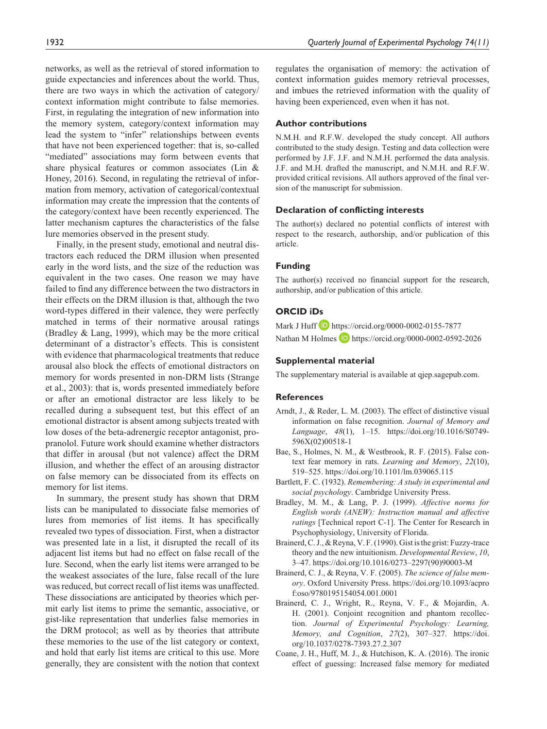networks, as well as the retrieval of stored information to guide expectancies and inferences about the world. Thus, there are two ways in which the activation of category/ context information might contribute to false memories. First, in regulating the integration of new information into the memory system, category/context information may lead the system to "infer" relationships between events that have not been experienced together: that is, so-called "mediated" associations may form between events that share physical features or common associates (Lin & Honey, 2016). Second, in regulating the retrieval of information from memory, activation of categorical/contextual information may create the impression that the contents of the category/context have been recently experienced. The latter mechanism captures the characteristics of the false lure memories observed in the present study.

Finally, in the present study, emotional and neutral distractors each reduced the DRM illusion when presented early in the word lists, and the size of the reduction was equivalent in the two cases. One reason we may have failed to find any difference between the two distractors in their effects on the DRM illusion is that, although the two word-types differed in their valence, they were perfectly matched in terms of their normative arousal ratings (Bradley & Lang, 1999), which may be the more critical determinant of a distractor's effects. This is consistent with evidence that pharmacological treatments that reduce arousal also block the effects of emotional distractors on memory for words presented in non-DRM lists (Strange et al., 2003): that is, words presented immediately before or after an emotional distractor are less likely to be recalled during a subsequent test, but this effect of an emotional distractor is absent among subjects treated with low doses of the beta-adrenergic receptor antagonist, propranolol. Future work should examine whether distractors that differ in arousal (but not valence) affect the DRM illusion, and whether the effect of an arousing distractor on false memory can be dissociated from its effects on memory for list items.

In summary, the present study has shown that DRM lists can be manipulated to dissociate false memories of lures from memories of list items. It has specifically revealed two types of dissociation. First, when a distractor was presented late in a list, it disrupted the recall of its adjacent list items but had no effect on false recall of the lure. Second, when the early list items were arranged to be the weakest associates of the lure, false recall of the lure was reduced, but correct recall of list items was unaffected. These dissociations are anticipated by theories which permit early list items to prime the semantic, associative, or gist-like representation that underlies false memories in the DRM protocol; as well as by theories that attribute these memories to the use of the list category or context, and hold that early list items are critical to this use. More generally, they are consistent with the notion that context

regulates the organisation of memory: the activation of context information guides memory retrieval processes, and imbues the retrieved information with the quality of having been experienced, even when it has not.

#### **Author contributions**

N.M.H. and R.F.W. developed the study concept. All authors contributed to the study design. Testing and data collection were performed by J.F. J.F. and N.M.H. performed the data analysis. J.F. and M.H. drafted the manuscript, and N.M.H. and R.F.W. provided critical revisions. All authors approved of the final version of the manuscript for submission.

#### **Declaration of conflicting interests**

The author(s) declared no potential conflicts of interest with respect to the research, authorship, and/or publication of this article.

#### **Funding**

The author(s) received no financial support for the research, authorship, and/or publication of this article.

# **ORCID iDs**

Mark J Huff **D** <https://orcid.org/0000-0002-0155-7877> Nathan M Holmes **D** <https://orcid.org/0000-0002-0592-2026>

#### **Supplemental material**

The supplementary material is available at qjep.sagepub.com.

#### **References**

- Arndt, J., & Reder, L. M. (2003). The effect of distinctive visual information on false recognition. *Journal of Memory and Language*, *48*(1), 1–15. [https://doi.org/10.1016/S0749-](https://doi.org/10.1016/S0749-596X(02)00518-1) [596X\(02\)00518-1](https://doi.org/10.1016/S0749-596X(02)00518-1)
- Bae, S., Holmes, N. M., & Westbrook, R. F. (2015). False context fear memory in rats. *Learning and Memory*, *22*(10), 519–525.<https://doi.org/10.1101/lm.039065.115>
- Bartlett, F. C. (1932). *Remembering: A study in experimental and social psychology*. Cambridge University Press.
- Bradley, M. M., & Lang, P. J. (1999). *Affective norms for English words (ANEW): Instruction manual and affective ratings* [Technical report C-1]. The Center for Research in Psychophysiology, University of Florida.
- Brainerd, C. J., & Reyna, V. F. (1990). Gist is the grist: Fuzzy-trace theory and the new intuitionism. *Developmental Review*, *10*, 3–47. [https://doi.org/10.1016/0273–2297\(90\)90003-M](https://doi.org/10.1016/0273-2297(90)90003-M)
- Brainerd, C. J., & Reyna, V. F. (2005). *The science of false memory*. Oxford University Press. [https://doi.org/10.1093/acpro](https://doi.org/10.1093/acprof:oso/9780195154054.001.0001) [f:oso/9780195154054.001.0001](https://doi.org/10.1093/acprof:oso/9780195154054.001.0001)
- Brainerd, C. J., Wright, R., Reyna, V. F., & Mojardin, A. H. (2001). Conjoint recognition and phantom recollection. *Journal of Experimental Psychology: Learning, Memory, and Cognition*, *27*(2), 307–327. [https://doi.](https://doi.org/10.1037/0278-7393.27.2.307) [org/10.1037/0278-7393.27.2.307](https://doi.org/10.1037/0278-7393.27.2.307)
- Coane, J. H., Huff, M. J., & Hutchison, K. A. (2016). The ironic effect of guessing: Increased false memory for mediated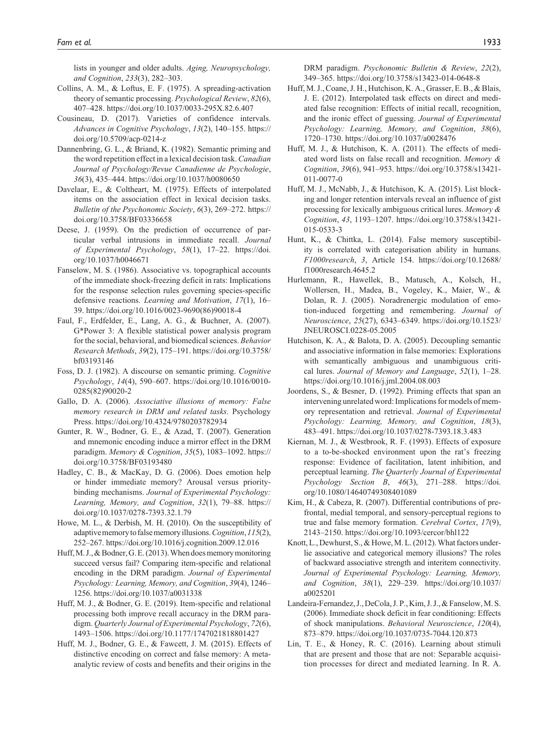lists in younger and older adults. *Aging, Neuropsychology, and Cognition*, *233*(3), 282–303.

- Collins, A. M., & Loftus, E. F. (1975). A spreading-activation theory of semantic processing. *Psychological Review*, *82*(6), 407–428.<https://doi.org/10.1037/0033-295X.82.6.407>
- Cousineau, D. (2017). Varieties of confidence intervals. *Advances in Cognitive Psychology*, *13*(2), 140–155. [https://](https://doi.org/10.5709/acp-0214-z) [doi.org/10.5709/acp-0214-z](https://doi.org/10.5709/acp-0214-z)
- Dannenbring, G. L., & Briand, K. (1982). Semantic priming and the word repetition effect in a lexical decision task. *Canadian Journal of Psychology/Revue Canadienne de Psychologie*, *36*(3), 435–444.<https://doi.org/10.1037/h0080650>
- Davelaar, E., & Coltheart, M. (1975). Effects of interpolated items on the association effect in lexical decision tasks. *Bulletin of the Psychonomic Society*, *6*(3), 269–272. [https://](https://doi.org/10.3758/BF03336658) [doi.org/10.3758/BF03336658](https://doi.org/10.3758/BF03336658)
- Deese, J. (1959). On the prediction of occurrence of particular verbal intrusions in immediate recall. *Journal of Experimental Psychology*, *58*(1), 17–22. [https://doi.](https://doi.org/10.1037/h0046671) [org/10.1037/h0046671](https://doi.org/10.1037/h0046671)
- Fanselow, M. S. (1986). Associative vs. topographical accounts of the immediate shock-freezing deficit in rats: Implications for the response selection rules governing species-specific defensive reactions. *Learning and Motivation*, *17*(1), 16– 39. [https://doi.org/10.1016/0023-9690\(86\)90018-4](https://doi.org/10.1016/0023-9690(86)90018-4)
- Faul, F., Erdfelder, E., Lang, A. G., & Buchner, A. (2007). G\*Power 3: A flexible statistical power analysis program for the social, behavioral, and biomedical sciences. *Behavior Research Methods*, *39*(2), 175–191. [https://doi.org/10.3758/](https://doi.org/10.3758/bf03193146) [bf03193146](https://doi.org/10.3758/bf03193146)
- Foss, D. J. (1982). A discourse on semantic priming. *Cognitive Psychology*, *14*(4), 590–607. [https://doi.org/10.1016/0010-](https://doi.org/10.1016/0010-0285(82)90020-2) [0285\(82\)90020-2](https://doi.org/10.1016/0010-0285(82)90020-2)
- Gallo, D. A. (2006). *Associative illusions of memory: False memory research in DRM and related tasks*. Psychology Press. <https://doi.org/10.4324/9780203782934>
- Gunter, R. W., Bodner, G. E., & Azad, T. (2007). Generation and mnemonic encoding induce a mirror effect in the DRM paradigm. *Memory & Cognition*, *35*(5), 1083–1092. [https://](https://doi.org/10.3758/BF03193480) [doi.org/10.3758/BF03193480](https://doi.org/10.3758/BF03193480)
- Hadley, C. B., & MacKay, D. G. (2006). Does emotion help or hinder immediate memory? Arousal versus prioritybinding mechanisms. *Journal of Experimental Psychology: Learning, Memory, and Cognition*, *32*(1), 79–88. [https://](https://doi.org/10.1037/0278-7393.32.1.79) [doi.org/10.1037/0278-7393.32.1.79](https://doi.org/10.1037/0278-7393.32.1.79)
- Howe, M. L., & Derbish, M. H. (2010). On the susceptibility of adaptive memory to false memory illusions. *Cognition*, *115*(2), 252–267. <https://doi.org/10.1016/j.cognition.2009.12.016>
- Huff, M. J., & Bodner, G. E. (2013). When does memory monitoring succeed versus fail? Comparing item-specific and relational encoding in the DRM paradigm. *Journal of Experimental Psychology: Learning, Memory, and Cognition*, *39*(4), 1246– 1256.<https://doi.org/10.1037/a0031338>
- Huff, M. J., & Bodner, G. E. (2019). Item-specific and relational processing both improve recall accuracy in the DRM paradigm. *Quarterly Journal of Experimental Psychology*, *72*(6), 1493–1506.<https://doi.org/10.1177/1747021818801427>
- Huff, M. J., Bodner, G. E., & Fawcett, J. M. (2015). Effects of distinctive encoding on correct and false memory: A metaanalytic review of costs and benefits and their origins in the

DRM paradigm. *Psychonomic Bulletin & Review*, *22*(2), 349–365.<https://doi.org/10.3758/s13423-014-0648-8>

- Huff, M. J., Coane, J. H., Hutchison, K. A., Grasser, E. B., & Blais, J. E. (2012). Interpolated task effects on direct and mediated false recognition: Effects of initial recall, recognition, and the ironic effect of guessing. *Journal of Experimental Psychology: Learning, Memory, and Cognition*, *38*(6), 1720–1730.<https://doi.org/10.1037/a0028476>
- Huff, M. J., & Hutchison, K. A. (2011). The effects of mediated word lists on false recall and recognition. *Memory & Cognition*, *39*(6), 941–953. [https://doi.org/10.3758/s13421-](https://doi.org/10.3758/s13421-011-0077-0) [011-0077-0](https://doi.org/10.3758/s13421-011-0077-0)
- Huff, M. J., McNabb, J., & Hutchison, K. A. (2015). List blocking and longer retention intervals reveal an influence of gist processing for lexically ambiguous critical lures. *Memory & Cognition*, *43*, 1193–1207. [https://doi.org/10.3758/s13421-](https://doi.org/10.3758/s13421-015-0533-3) [015-0533-3](https://doi.org/10.3758/s13421-015-0533-3)
- Hunt, K., & Chittka, L. (2014). False memory susceptibility is correlated with categorisation ability in humans. *F1000research*, *3*, Article 154. [https://doi.org/10.12688/](https://doi.org/10.12688/f1000research.4645.2) [f1000research.4645.2](https://doi.org/10.12688/f1000research.4645.2)
- Hurlemann, R., Hawellek, B., Matusch, A., Kolsch, H., Wollersen, H., Madea, B., Vogeley, K., Maier, W., & Dolan, R. J. (2005). Noradrenergic modulation of emotion-induced forgetting and remembering. *Journal of Neuroscience*, *25*(27), 6343–6349. [https://doi.org/10.1523/](https://doi.org/10.1523/JNEUROSCI.0228-05.2005) [JNEUROSCI.0228-05.2005](https://doi.org/10.1523/JNEUROSCI.0228-05.2005)
- Hutchison, K. A., & Balota, D. A. (2005). Decoupling semantic and associative information in false memories: Explorations with semantically ambiguous and unambiguous critical lures. *Journal of Memory and Language*, *52*(1), 1–28. <https://doi.org/10.1016/j.jml.2004.08.003>
- Joordens, S., & Besner, D. (1992). Priming effects that span an intervening unrelated word: Implications for models of memory representation and retrieval. *Journal of Experimental Psychology: Learning, Memory, and Cognition*, *18*(3), 483–491.<https://doi.org/10.1037/0278-7393.18.3.483>
- Kiernan, M. J., & Westbrook, R. F. (1993). Effects of exposure to a to-be-shocked environment upon the rat's freezing response: Evidence of facilitation, latent inhibition, and perceptual learning. *The Quarterly Journal of Experimental Psychology Section B*, *46*(3), 271–288. [https://doi.](https://doi.org/10.1080/14640749308401089) [org/10.1080/14640749308401089](https://doi.org/10.1080/14640749308401089)
- Kim, H., & Cabeza, R. (2007). Differential contributions of prefrontal, medial temporal, and sensory-perceptual regions to true and false memory formation. *Cerebral Cortex*, *17*(9), 2143–2150.<https://doi.org/10.1093/cercor/bhl122>
- Knott, L., Dewhurst, S., & Howe, M. L. (2012). What factors underlie associative and categorical memory illusions? The roles of backward associative strength and interitem connectivity. *Journal of Experimental Psychology: Learning, Memory, and Cognition*, *38*(1), 229–239. [https://doi.org/10.1037/](https://doi.org/10.1037/a0025201) [a0025201](https://doi.org/10.1037/a0025201)
- Landeira-Fernandez, J., DeCola, J. P., Kim, J. J., & Fanselow, M. S. (2006). Immediate shock deficit in fear conditioning: Effects of shock manipulations. *Behavioral Neuroscience*, *120*(4), 873–879. <https://doi.org/10.1037/0735-7044.120.873>
- Lin, T. E., & Honey, R. C. (2016). Learning about stimuli that are present and those that are not: Separable acquisition processes for direct and mediated learning. In R. A.